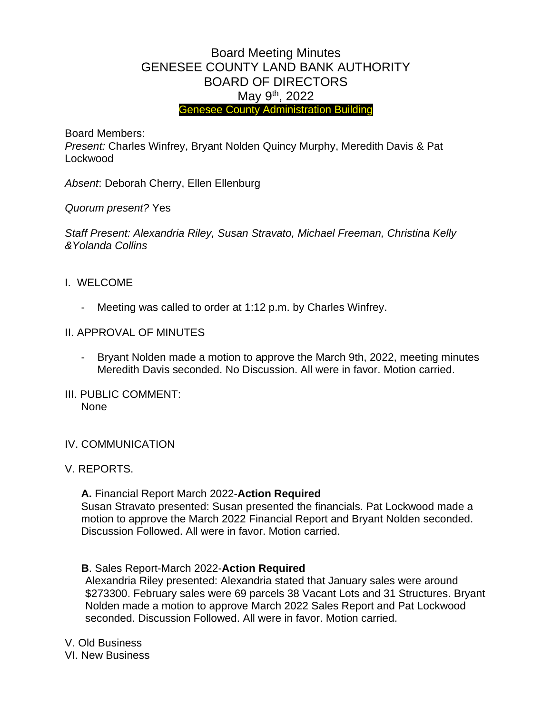# Board Meeting Minutes GENESEE COUNTY LAND BANK AUTHORITY BOARD OF DIRECTORS May 9<sup>th</sup>, 2022 Genesee County Administration Building

Board Members:

*Present:* Charles Winfrey, Bryant Nolden Quincy Murphy, Meredith Davis & Pat Lockwood

*Absent*: Deborah Cherry, Ellen Ellenburg

*Quorum present?* Yes

*Staff Present: Alexandria Riley, Susan Stravato, Michael Freeman, Christina Kelly &Yolanda Collins*

- I. WELCOME
	- Meeting was called to order at 1:12 p.m. by Charles Winfrey.
- II. APPROVAL OF MINUTES
	- Bryant Nolden made a motion to approve the March 9th, 2022, meeting minutes Meredith Davis seconded. No Discussion. All were in favor. Motion carried.
- III. PUBLIC COMMENT: None
- IV. COMMUNICATION
- V. REPORTS.

**A.** Financial Report March 2022-**Action Required**  Susan Stravato presented: Susan presented the financials. Pat Lockwood made a motion to approve the March 2022 Financial Report and Bryant Nolden seconded. Discussion Followed. All were in favor. Motion carried.

**B**. Sales Report-March 2022-**Action Required**

Alexandria Riley presented: Alexandria stated that January sales were around \$273300. February sales were 69 parcels 38 Vacant Lots and 31 Structures. Bryant Nolden made a motion to approve March 2022 Sales Report and Pat Lockwood seconded. Discussion Followed. All were in favor. Motion carried.

V. Old Business VI. New Business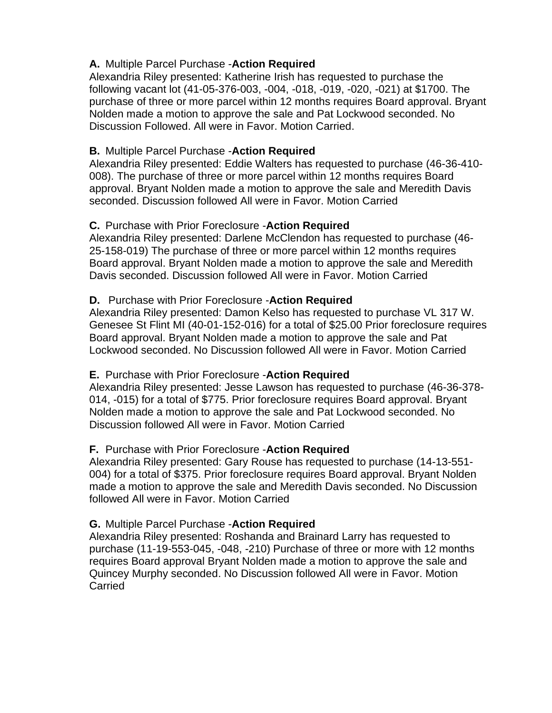### **A.** Multiple Parcel Purchase -**Action Required**

Alexandria Riley presented: Katherine Irish has requested to purchase the following vacant lot (41-05-376-003, -004, -018, -019, -020, -021) at \$1700. The purchase of three or more parcel within 12 months requires Board approval. Bryant Nolden made a motion to approve the sale and Pat Lockwood seconded. No Discussion Followed. All were in Favor. Motion Carried.

## **B.** Multiple Parcel Purchase -**Action Required**

Alexandria Riley presented: Eddie Walters has requested to purchase (46-36-410- 008). The purchase of three or more parcel within 12 months requires Board approval. Bryant Nolden made a motion to approve the sale and Meredith Davis seconded. Discussion followed All were in Favor. Motion Carried

## **C.** Purchase with Prior Foreclosure -**Action Required**

Alexandria Riley presented: Darlene McClendon has requested to purchase (46- 25-158-019) The purchase of three or more parcel within 12 months requires Board approval. Bryant Nolden made a motion to approve the sale and Meredith Davis seconded. Discussion followed All were in Favor. Motion Carried

## **D.** Purchase with Prior Foreclosure -**Action Required**

Alexandria Riley presented: Damon Kelso has requested to purchase VL 317 W. Genesee St Flint MI (40-01-152-016) for a total of \$25.00 Prior foreclosure requires Board approval. Bryant Nolden made a motion to approve the sale and Pat Lockwood seconded. No Discussion followed All were in Favor. Motion Carried

#### **E.** Purchase with Prior Foreclosure -**Action Required**

Alexandria Riley presented: Jesse Lawson has requested to purchase (46-36-378- 014, -015) for a total of \$775. Prior foreclosure requires Board approval. Bryant Nolden made a motion to approve the sale and Pat Lockwood seconded. No Discussion followed All were in Favor. Motion Carried

#### **F.** Purchase with Prior Foreclosure -**Action Required**

Alexandria Riley presented: Gary Rouse has requested to purchase (14-13-551- 004) for a total of \$375. Prior foreclosure requires Board approval. Bryant Nolden made a motion to approve the sale and Meredith Davis seconded. No Discussion followed All were in Favor. Motion Carried

#### **G.** Multiple Parcel Purchase -**Action Required**

Alexandria Riley presented: Roshanda and Brainard Larry has requested to purchase (11-19-553-045, -048, -210) Purchase of three or more with 12 months requires Board approval Bryant Nolden made a motion to approve the sale and Quincey Murphy seconded. No Discussion followed All were in Favor. Motion Carried